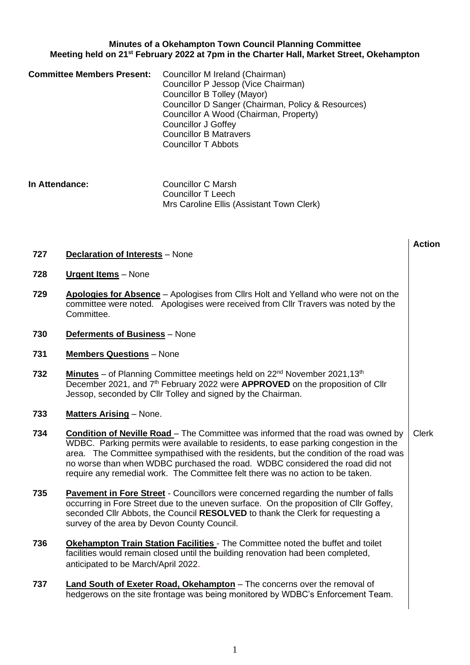# **Minutes of a Okehampton Town Council Planning Committee Meeting held on 21st February 2022 at 7pm in the Charter Hall, Market Street, Okehampton**

| <b>Committee Members Present:</b> | Councillor M Ireland (Chairman)                    |
|-----------------------------------|----------------------------------------------------|
|                                   | Councillor P Jessop (Vice Chairman)                |
|                                   | Councillor B Tolley (Mayor)                        |
|                                   | Councillor D Sanger (Chairman, Policy & Resources) |
|                                   | Councillor A Wood (Chairman, Property)             |
|                                   | <b>Councillor J Goffey</b>                         |
|                                   | <b>Councillor B Matravers</b>                      |
|                                   | <b>Councillor T Abbots</b>                         |

**In Attendance:** Councillor C Marsh Councillor T Leech Mrs Caroline Ellis (Assistant Town Clerk)

## **727 Declaration of Interests** – None

- **728 Urgent Items** None
- **729 Apologies for Absence** Apologises from Cllrs Holt and Yelland who were not on the committee were noted. Apologises were received from Cllr Travers was noted by the Committee.

**Action**

- **730 Deferments of Business** None
- **731 Members Questions** None
- **732 Minutes** of Planning Committee meetings held on 22<sup>nd</sup> November 2021,13<sup>th</sup> December 2021, and 7th February 2022 were **APPROVED** on the proposition of Cllr Jessop, seconded by Cllr Tolley and signed by the Chairman.
- **733 Matters Arising** None.
- **734 Condition of Neville Road**  The Committee was informed that the road was owned by WDBC. Parking permits were available to residents, to ease parking congestion in the area. The Committee sympathised with the residents, but the condition of the road was no worse than when WDBC purchased the road. WDBC considered the road did not require any remedial work. The Committee felt there was no action to be taken. Clerk
- **735 Pavement in Fore Street** Councillors were concerned regarding the number of falls occurring in Fore Street due to the uneven surface. On the proposition of Cllr Goffey, seconded Cllr Abbots, the Council **RESOLVED** to thank the Clerk for requesting a survey of the area by Devon County Council.
- **736 Okehampton Train Station Facilities** The Committee noted the buffet and toilet facilities would remain closed until the building renovation had been completed, anticipated to be March/April 2022.
- **737 Land South of Exeter Road, Okehampton** The concerns over the removal of hedgerows on the site frontage was being monitored by WDBC's Enforcement Team.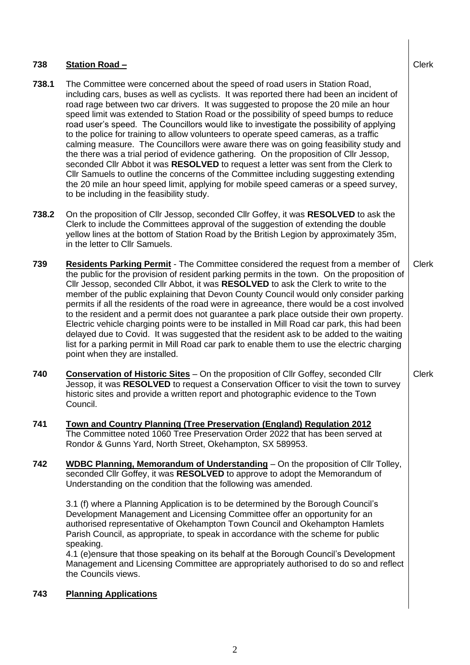| 738   | Station Road -                                                                                                                                                                                                                                                                                                                                                                                                                                                                                                                                                                                                                                                                                                                                                                                                                                                                                                                                                                                                                                   | <b>Clerk</b> |
|-------|--------------------------------------------------------------------------------------------------------------------------------------------------------------------------------------------------------------------------------------------------------------------------------------------------------------------------------------------------------------------------------------------------------------------------------------------------------------------------------------------------------------------------------------------------------------------------------------------------------------------------------------------------------------------------------------------------------------------------------------------------------------------------------------------------------------------------------------------------------------------------------------------------------------------------------------------------------------------------------------------------------------------------------------------------|--------------|
| 738.1 | The Committee were concerned about the speed of road users in Station Road,<br>including cars, buses as well as cyclists. It was reported there had been an incident of<br>road rage between two car drivers. It was suggested to propose the 20 mile an hour<br>speed limit was extended to Station Road or the possibility of speed bumps to reduce<br>road user's speed. The Councillors would like to investigate the possibility of applying<br>to the police for training to allow volunteers to operate speed cameras, as a traffic<br>calming measure. The Councillors were aware there was on going feasibility study and<br>the there was a trial period of evidence gathering. On the proposition of Cllr Jessop,<br>seconded Cllr Abbot it was RESOLVED to request a letter was sent from the Clerk to<br>CIIr Samuels to outline the concerns of the Committee including suggesting extending<br>the 20 mile an hour speed limit, applying for mobile speed cameras or a speed survey,<br>to be including in the feasibility study. |              |
| 738.2 | On the proposition of Cllr Jessop, seconded Cllr Goffey, it was RESOLVED to ask the<br>Clerk to include the Committees approval of the suggestion of extending the double<br>yellow lines at the bottom of Station Road by the British Legion by approximately 35m,<br>in the letter to Cllr Samuels.                                                                                                                                                                                                                                                                                                                                                                                                                                                                                                                                                                                                                                                                                                                                            |              |
| 739   | <b>Residents Parking Permit</b> - The Committee considered the request from a member of<br>the public for the provision of resident parking permits in the town. On the proposition of<br>Cllr Jessop, seconded Cllr Abbot, it was RESOLVED to ask the Clerk to write to the<br>member of the public explaining that Devon County Council would only consider parking<br>permits if all the residents of the road were in agreeance, there would be a cost involved<br>to the resident and a permit does not guarantee a park place outside their own property.<br>Electric vehicle charging points were to be installed in Mill Road car park, this had been<br>delayed due to Covid. It was suggested that the resident ask to be added to the waiting<br>list for a parking permit in Mill Road car park to enable them to use the electric charging<br>point when they are installed.                                                                                                                                                        | <b>Clerk</b> |
| 740   | <b>Conservation of Historic Sites</b> – On the proposition of Cllr Goffey, seconded Cllr<br>Jessop, it was RESOLVED to request a Conservation Officer to visit the town to survey<br>historic sites and provide a written report and photographic evidence to the Town<br>Council.                                                                                                                                                                                                                                                                                                                                                                                                                                                                                                                                                                                                                                                                                                                                                               | <b>Clerk</b> |
| 741   | Town and Country Planning (Tree Preservation (England) Regulation 2012<br>The Committee noted 1060 Tree Preservation Order 2022 that has been served at<br>Rondor & Gunns Yard, North Street, Okehampton, SX 589953.                                                                                                                                                                                                                                                                                                                                                                                                                                                                                                                                                                                                                                                                                                                                                                                                                             |              |
| 742   | <b>WDBC Planning, Memorandum of Understanding</b> – On the proposition of Cllr Tolley,<br>seconded Cllr Goffey, it was RESOLVED to approve to adopt the Memorandum of<br>Understanding on the condition that the following was amended.<br>3.1 (f) where a Planning Application is to be determined by the Borough Council's<br>Development Management and Licensing Committee offer an opportunity for an<br>authorised representative of Okehampton Town Council and Okehampton Hamlets<br>Parish Council, as appropriate, to speak in accordance with the scheme for public<br>speaking.<br>4.1 (e)ensure that those speaking on its behalf at the Borough Council's Development<br>Management and Licensing Committee are appropriately authorised to do so and reflect<br>the Councils views.                                                                                                                                                                                                                                               |              |
| 743   | <b>Planning Applications</b>                                                                                                                                                                                                                                                                                                                                                                                                                                                                                                                                                                                                                                                                                                                                                                                                                                                                                                                                                                                                                     |              |

 $\begin{array}{c} \hline \end{array}$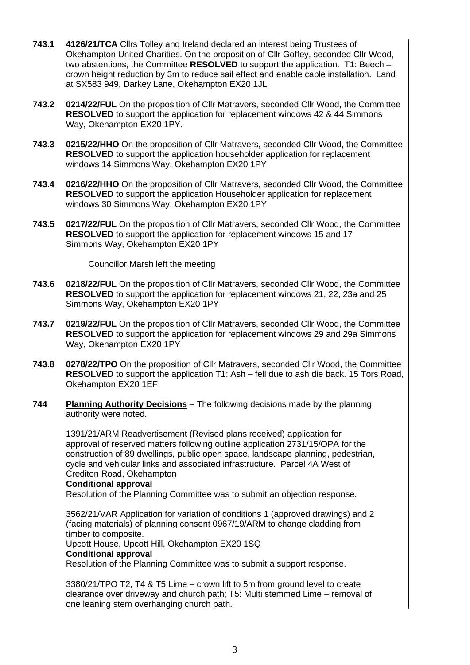- **743.1 4126/21/TCA** Cllrs Tolley and Ireland declared an interest being Trustees of Okehampton United Charities. On the proposition of Cllr Goffey, seconded Cllr Wood, two abstentions, the Committee **RESOLVED** to support the application. T1: Beech – crown height reduction by 3m to reduce sail effect and enable cable installation. Land at SX583 949, Darkey Lane, Okehampton EX20 1JL
- **743.2 0214/22/FUL** On the proposition of Cllr Matravers, seconded Cllr Wood, the Committee **RESOLVED** to support the application for replacement windows 42 & 44 Simmons Way, Okehampton EX20 1PY.
- **743.3 0215/22/HHO** On the proposition of Cllr Matravers, seconded Cllr Wood, the Committee **RESOLVED** to support the application householder application for replacement windows 14 Simmons Way, Okehampton EX20 1PY
- **743.4 0216/22/HHO** On the proposition of Cllr Matravers, seconded Cllr Wood, the Committee **RESOLVED** to support the application Householder application for replacement windows 30 Simmons Way, Okehampton EX20 1PY
- **743.5 0217/22/FUL** On the proposition of Cllr Matravers, seconded Cllr Wood, the Committee **RESOLVED** to support the application for replacement windows 15 and 17 Simmons Way, Okehampton EX20 1PY

Councillor Marsh left the meeting

- **743.6 0218/22/FUL** On the proposition of Cllr Matravers, seconded Cllr Wood, the Committee **RESOLVED** to support the application for replacement windows 21, 22, 23a and 25 Simmons Way, Okehampton EX20 1PY
- **743.7 0219/22/FUL** On the proposition of Cllr Matravers, seconded Cllr Wood, the Committee **RESOLVED** to support the application for replacement windows 29 and 29a Simmons Way, Okehampton EX20 1PY
- **743.8 0278/22/TPO** On the proposition of Cllr Matravers, seconded Cllr Wood, the Committee **RESOLVED** to support the application T1: Ash – fell due to ash die back. 15 Tors Road, Okehampton EX20 1EF
- **744 Planning Authority Decisions** The following decisions made by the planning authority were noted.

1391/21/ARM Readvertisement (Revised plans received) application for approval of reserved matters following outline application 2731/15/OPA for the construction of 89 dwellings, public open space, landscape planning, pedestrian, cycle and vehicular links and associated infrastructure. Parcel 4A West of Crediton Road, Okehampton

## **Conditional approval**

Resolution of the Planning Committee was to submit an objection response.

3562/21/VAR Application for variation of conditions 1 (approved drawings) and 2 (facing materials) of planning consent 0967/19/ARM to change cladding from timber to composite.

Upcott House, Upcott Hill, Okehampton EX20 1SQ

### **Conditional approval**

Resolution of the Planning Committee was to submit a support response.

3380/21/TPO T2, T4 & T5 Lime – crown lift to 5m from ground level to create clearance over driveway and church path; T5: Multi stemmed Lime – removal of one leaning stem overhanging church path.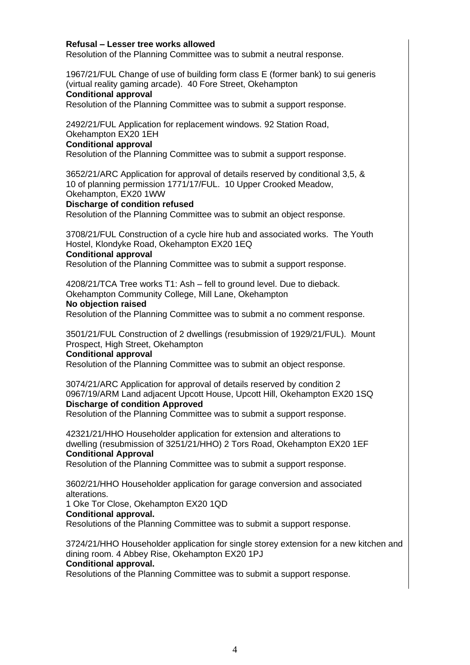## **Refusal – Lesser tree works allowed**

Resolution of the Planning Committee was to submit a neutral response.

1967/21/FUL Change of use of building form class E (former bank) to sui generis (virtual reality gaming arcade). 40 Fore Street, Okehampton

## **Conditional approval**

Resolution of the Planning Committee was to submit a support response.

2492/21/FUL Application for replacement windows. 92 Station Road, Okehampton EX20 1EH

#### **Conditional approval**

Resolution of the Planning Committee was to submit a support response.

3652/21/ARC Application for approval of details reserved by conditional 3,5, & 10 of planning permission 1771/17/FUL. 10 Upper Crooked Meadow, Okehampton, EX20 1WW

#### **Discharge of condition refused**

Resolution of the Planning Committee was to submit an object response.

3708/21/FUL Construction of a cycle hire hub and associated works. The Youth Hostel, Klondyke Road, Okehampton EX20 1EQ

#### **Conditional approval**

Resolution of the Planning Committee was to submit a support response.

4208/21/TCA Tree works T1: Ash – fell to ground level. Due to dieback. Okehampton Community College, Mill Lane, Okehampton

#### **No objection raised**

Resolution of the Planning Committee was to submit a no comment response.

3501/21/FUL Construction of 2 dwellings (resubmission of 1929/21/FUL). Mount Prospect, High Street, Okehampton

## **Conditional approval**

Resolution of the Planning Committee was to submit an object response.

3074/21/ARC Application for approval of details reserved by condition 2 0967/19/ARM Land adjacent Upcott House, Upcott Hill, Okehampton EX20 1SQ **Discharge of condition Approved**

Resolution of the Planning Committee was to submit a support response.

42321/21/HHO Householder application for extension and alterations to dwelling (resubmission of 3251/21/HHO) 2 Tors Road, Okehampton EX20 1EF **Conditional Approval**

Resolution of the Planning Committee was to submit a support response.

3602/21/HHO Householder application for garage conversion and associated alterations.

1 Oke Tor Close, Okehampton EX20 1QD

### **Conditional approval.**

Resolutions of the Planning Committee was to submit a support response.

3724/21/HHO Householder application for single storey extension for a new kitchen and dining room. 4 Abbey Rise, Okehampton EX20 1PJ **Conditional approval.**

Resolutions of the Planning Committee was to submit a support response.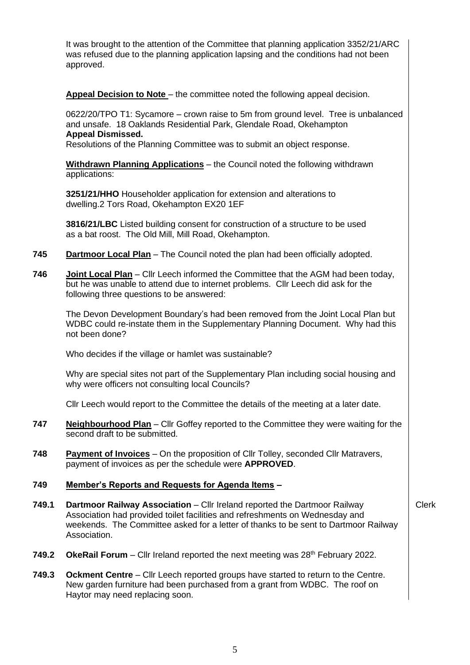It was brought to the attention of the Committee that planning application 3352/21/ARC was refused due to the planning application lapsing and the conditions had not been approved.

**Appeal Decision to Note** – the committee noted the following appeal decision.

0622/20/TPO T1: Sycamore – crown raise to 5m from ground level. Tree is unbalanced and unsafe. 18 Oaklands Residential Park, Glendale Road, Okehampton **Appeal Dismissed.**

Resolutions of the Planning Committee was to submit an object response.

**Withdrawn Planning Applications** – the Council noted the following withdrawn applications:

**3251/21/HHO** Householder application for extension and alterations to dwelling.2 Tors Road, Okehampton EX20 1EF

**3816/21/LBC** Listed building consent for construction of a structure to be used as a bat roost. The Old Mill, Mill Road, Okehampton.

- **745 Dartmoor Local Plan** The Council noted the plan had been officially adopted.
- **746 Joint Local Plan** Cllr Leech informed the Committee that the AGM had been today, but he was unable to attend due to internet problems. Cllr Leech did ask for the following three questions to be answered:

The Devon Development Boundary's had been removed from the Joint Local Plan but WDBC could re-instate them in the Supplementary Planning Document. Why had this not been done?

Who decides if the village or hamlet was sustainable?

Why are special sites not part of the Supplementary Plan including social housing and why were officers not consulting local Councils?

Cllr Leech would report to the Committee the details of the meeting at a later date.

- **747 Neighbourhood Plan** Cllr Goffey reported to the Committee they were waiting for the second draft to be submitted.
- **748 Payment of Invoices** On the proposition of Cllr Tolley, seconded Cllr Matravers, payment of invoices as per the schedule were **APPROVED**.

# **749 Member's Reports and Requests for Agenda Items –**

**749.1 Dartmoor Railway Association** – Cllr Ireland reported the Dartmoor Railway Association had provided toilet facilities and refreshments on Wednesday and weekends. The Committee asked for a letter of thanks to be sent to Dartmoor Railway Association.

Clerk

- **749.2 OkeRail Forum** Cllr Ireland reported the next meeting was 28<sup>th</sup> February 2022.
- **749.3 Ockment Centre** Cllr Leech reported groups have started to return to the Centre. New garden furniture had been purchased from a grant from WDBC. The roof on Haytor may need replacing soon.